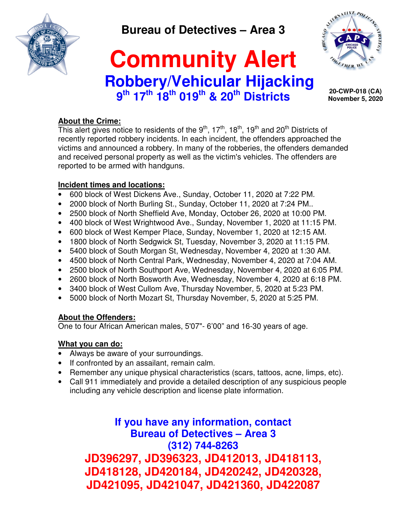

**Bureau of Detectives – Area 3** 

# **Community Alert Robbery/Vehicular Hijacking 9 th 17th 18th 019th & 20th Districts**



 **20-CWP-018 (CA) November 5, 2020**

## **About the Crime:**

This alert gives notice to residents of the  $9<sup>th</sup>$ , 17<sup>th</sup>, 18<sup>th</sup>, 19<sup>th</sup> and 20<sup>th</sup> Districts of recently reported robbery incidents. In each incident, the offenders approached the victims and announced a robbery. In many of the robberies, the offenders demanded and received personal property as well as the victim's vehicles. The offenders are reported to be armed with handguns.

#### **Incident times and locations:**

- 600 block of West Dickens Ave., Sunday, October 11, 2020 at 7:22 PM.
- 2000 block of North Burling St., Sunday, October 11, 2020 at 7:24 PM..
- 2500 block of North Sheffield Ave, Monday, October 26, 2020 at 10:00 PM.
- 400 block of West Wrightwood Ave., Sunday, November 1, 2020 at 11:15 PM.
- 600 block of West Kemper Place, Sunday, November 1, 2020 at 12:15 AM.
- 1800 block of North Sedgwick St, Tuesday, November 3, 2020 at 11:15 PM.
- 5400 block of South Morgan St, Wednesday, November 4, 2020 at 1:30 AM.
- 4500 block of North Central Park, Wednesday, November 4, 2020 at 7:04 AM.
- 2500 block of North Southport Ave, Wednesday, November 4, 2020 at 6:05 PM.
- 2600 block of North Bosworth Ave, Wednesday, November 4, 2020 at 6:18 PM.
- 3400 block of West Cullom Ave, Thursday November, 5, 2020 at 5:23 PM.
- 5000 block of North Mozart St, Thursday November, 5, 2020 at 5:25 PM.

### **About the Offenders:**

One to four African American males, 5'07"- 6'00" and 16-30 years of age.

### **What you can do:**

- Always be aware of your surroundings.
- If confronted by an assailant, remain calm.
- Remember any unique physical characteristics (scars, tattoos, acne, limps, etc).
- Call 911 immediately and provide a detailed description of any suspicious people including any vehicle description and license plate information.

**If you have any information, contact Bureau of Detectives – Area 3 (312) 744-8263 JD396297, JD396323, JD412013, JD418113, JD418128, JD420184, JD420242, JD420328, JD421095, JD421047, JD421360, JD422087**